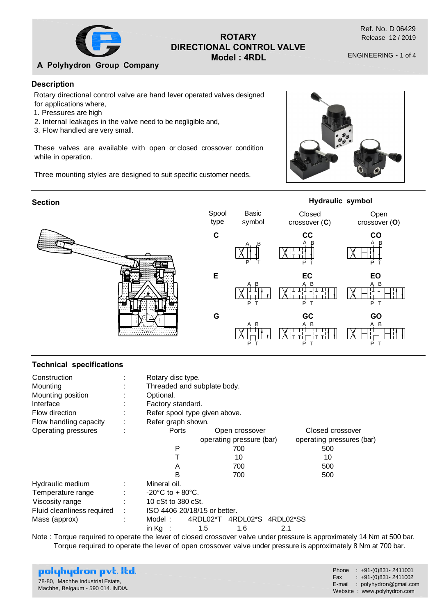

## **ROTARY DIRECTIONAL CONTROL VALVE Model : 4RDL**

Ref. No. D 06429 Release 12 / 2019

ENGINEERING - 1 of 4

**A Polyhydron Group Company**

## **Description**

Rotary directional control valve are hand lever operated valves designed for applications where,

- 1. Pressures are high
- 2. Internal leakages in the valve need to be negligible and,
- 3. Flow handled are very small.

These valves are available with open or closed crossover condition while in operation.

Three mounting styles are designed to suit specific customer needs.





#### **Technical specifications**

| Construction<br>Mounting<br>Mounting position<br>Interface<br>Flow direction<br>Flow handling capacity                                                                                                                         | Rotary disc type.<br>Threaded and subplate body.<br>Optional.<br>Factory standard.<br>Refer spool type given above.<br>Refer graph shown. |     |                          |     |                           |  |  |
|--------------------------------------------------------------------------------------------------------------------------------------------------------------------------------------------------------------------------------|-------------------------------------------------------------------------------------------------------------------------------------------|-----|--------------------------|-----|---------------------------|--|--|
| Operating pressures                                                                                                                                                                                                            | Ports                                                                                                                                     |     | Open crossover           |     | Closed crossover          |  |  |
|                                                                                                                                                                                                                                |                                                                                                                                           |     | operating pressure (bar) |     | operating pressures (bar) |  |  |
|                                                                                                                                                                                                                                | P                                                                                                                                         |     | 700                      |     | 500                       |  |  |
|                                                                                                                                                                                                                                |                                                                                                                                           |     | 10                       |     | 10                        |  |  |
|                                                                                                                                                                                                                                | A                                                                                                                                         |     | 700                      |     | 500                       |  |  |
|                                                                                                                                                                                                                                | в                                                                                                                                         |     | 700                      |     | 500                       |  |  |
| Hydraulic medium                                                                                                                                                                                                               | Mineral oil.                                                                                                                              |     |                          |     |                           |  |  |
| Temperature range                                                                                                                                                                                                              | $-20^{\circ}$ C to + 80 $^{\circ}$ C.                                                                                                     |     |                          |     |                           |  |  |
| Viscosity range                                                                                                                                                                                                                | 10 cSt to 380 cSt.                                                                                                                        |     |                          |     |                           |  |  |
| Fluid cleanliness required                                                                                                                                                                                                     | ISO 4406 20/18/15 or better.                                                                                                              |     |                          |     |                           |  |  |
| Mass (approx)                                                                                                                                                                                                                  | 4RDL02*T<br>4RDL02*S 4RDL02*SS<br>Model :                                                                                                 |     |                          |     |                           |  |  |
| Note that the compact of the contract of the contract of the contract of the compact of the contract of the company of the contract of the contract of the contract of the contract of the contract of the contract of the con | in Ka $\;$ :                                                                                                                              | 1.5 | 1.6                      | 2.1 |                           |  |  |

Note : Torque required to operate the lever of closed crossover valve under pressure is approximately 14 Nm at 500 bar. Torque required to operate the lever of open crossover valve under pressure is approximately 8 Nm at 700 bar.

| polyhydron pvt. Itd.<br>78-80, Machhe Industrial Estate,<br>Machhe, Belgaum - 590 014. INDIA. | Phone : $+91-(0)831-2411001$<br>Fax: $\div$ +91-(0)831-2411002<br>$E$ -mail : polyhydron@gmail.com<br>Website: www.polyhydron.com |
|-----------------------------------------------------------------------------------------------|-----------------------------------------------------------------------------------------------------------------------------------|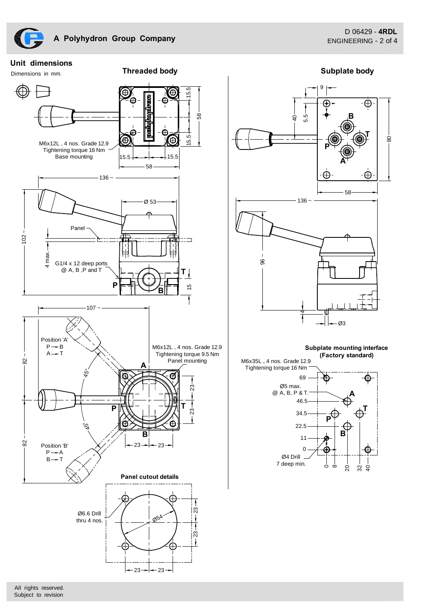Dimensions in mm.

**Threaded body Subplate body** 



 $-23$   $-23$  -

![](_page_1_Figure_6.jpeg)

![](_page_1_Figure_7.jpeg)

All rights reserved. Subject to revision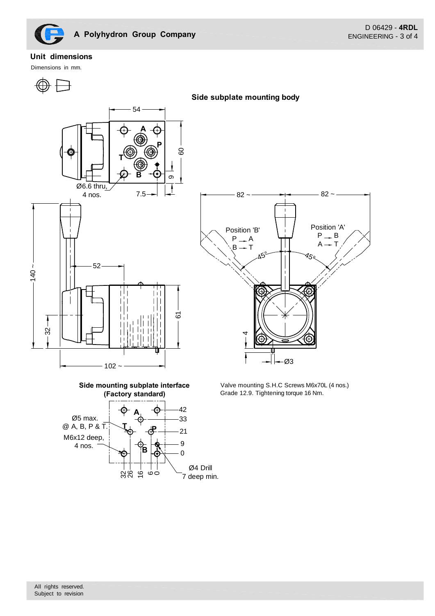![](_page_2_Figure_0.jpeg)

## **Unit dimensions**

Dimensions in mm.

![](_page_2_Figure_4.jpeg)

**Side subplate mounting body**

![](_page_2_Figure_6.jpeg)

![](_page_2_Figure_7.jpeg)

Valve mounting S.H.C Screws M6x70L (4 nos.) Grade 12.9. Tightening torque 16 Nm.